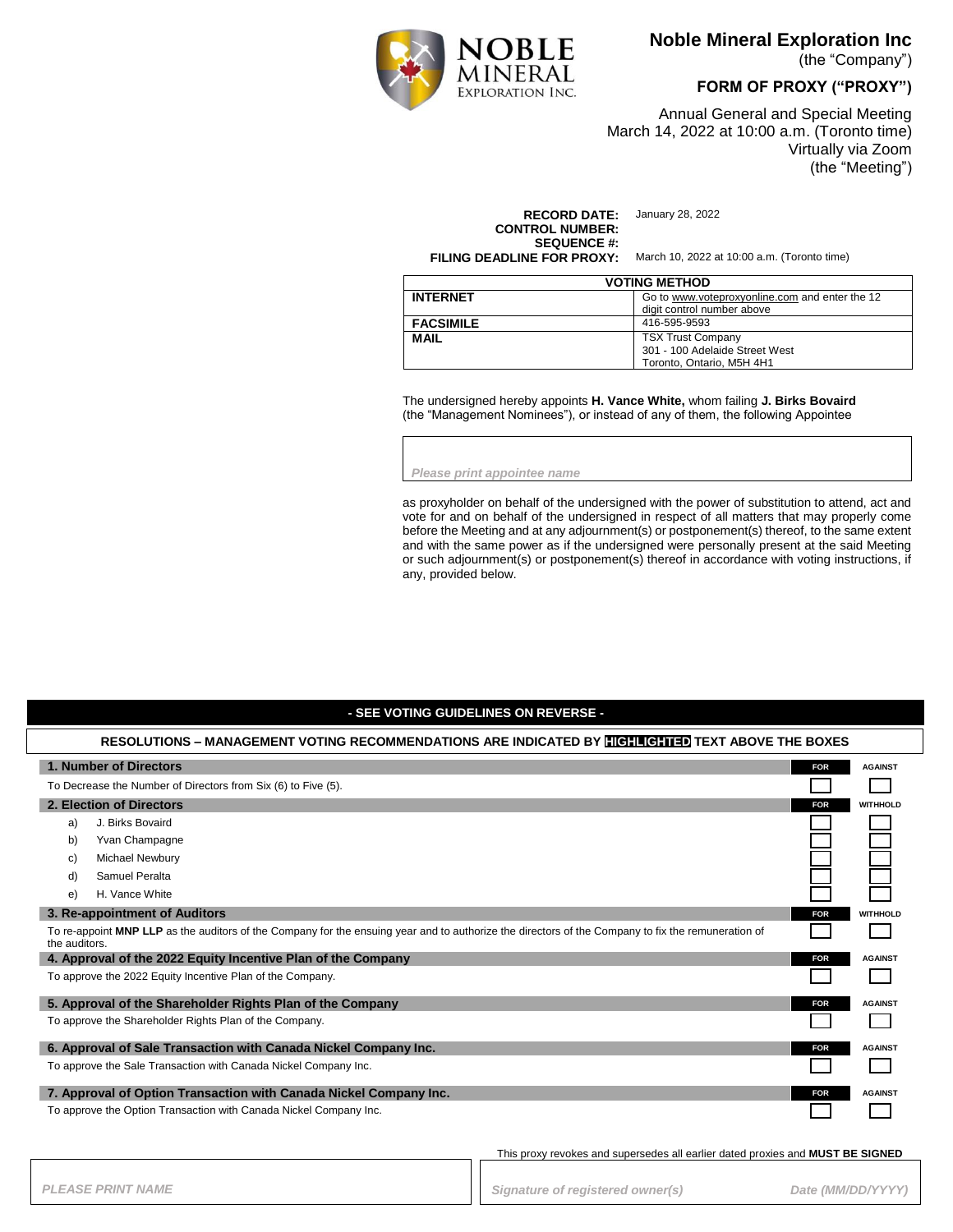

**Noble Mineral Exploration Inc**

(the "Company")

**FORM OF PROXY ("PROXY")**

Annual General and Special Meeting March 14, 2022 at 10:00 a.m. (Toronto time) Virtually via Zoom (the "Meeting")

**RECORD DATE:** January 28, 2022 **CONTROL NUMBER: SEQUENCE #:**<br>**FILING DEADLINE FOR PROXY:** 

**FILING DEADLINE FOR PROXY:** March 10, 2022 at 10:00 a.m. (Toronto time)

| <b>VOTING METHOD</b> |                                                                                         |
|----------------------|-----------------------------------------------------------------------------------------|
| <b>INTERNET</b>      | Go to www.voteproxyonline.com and enter the 12<br>digit control number above            |
| <b>FACSIMILE</b>     | 416-595-9593                                                                            |
| <b>MAIL</b>          | <b>TSX Trust Company</b><br>301 - 100 Adelaide Street West<br>Toronto, Ontario, M5H 4H1 |

The undersigned hereby appoints **H. Vance White,** whom failing **J. Birks Bovaird** (the "Management Nominees"), or instead of any of them, the following Appointee

*Please print appointee name*

as proxyholder on behalf of the undersigned with the power of substitution to attend, act and vote for and on behalf of the undersigned in respect of all matters that may properly come before the Meeting and at any adjournment(s) or postponement(s) thereof, to the same extent and with the same power as if the undersigned were personally present at the said Meeting or such adjournment(s) or postponement(s) thereof in accordance with voting instructions, if any, provided below.

### **- SEE VOTING GUIDELINES ON REVERSE -**

| RESOLUTIONS - MANAGEMENT VOTING RECOMMENDATIONS ARE INDICATED BY <b>HIGHLIGHTED</b> TEXT ABOVE THE BOXES                                                            |                               |  |
|---------------------------------------------------------------------------------------------------------------------------------------------------------------------|-------------------------------|--|
| 1. Number of Directors                                                                                                                                              | <b>FOR</b><br><b>AGAINST</b>  |  |
| To Decrease the Number of Directors from Six (6) to Five (5).                                                                                                       |                               |  |
| 2. Election of Directors                                                                                                                                            | <b>FOR</b><br><b>WITHHOLD</b> |  |
| J. Birks Bovaird<br>a)                                                                                                                                              |                               |  |
| Yvan Champagne<br>b)                                                                                                                                                |                               |  |
| <b>Michael Newbury</b><br>C)                                                                                                                                        |                               |  |
| Samuel Peralta<br>d)                                                                                                                                                |                               |  |
| H. Vance White<br>e)                                                                                                                                                |                               |  |
| 3. Re-appointment of Auditors                                                                                                                                       | <b>FOR</b><br><b>WITHHOLD</b> |  |
| To re-appoint MNP LLP as the auditors of the Company for the ensuing year and to authorize the directors of the Company to fix the remuneration of<br>the auditors. |                               |  |
| 4. Approval of the 2022 Equity Incentive Plan of the Company                                                                                                        | <b>FOR</b><br><b>AGAINST</b>  |  |
| To approve the 2022 Equity Incentive Plan of the Company.                                                                                                           |                               |  |
| 5. Approval of the Shareholder Rights Plan of the Company                                                                                                           | <b>FOR</b><br><b>AGAINST</b>  |  |
| To approve the Shareholder Rights Plan of the Company.                                                                                                              |                               |  |
| 6. Approval of Sale Transaction with Canada Nickel Company Inc.                                                                                                     | <b>AGAINST</b><br><b>FOR</b>  |  |
| To approve the Sale Transaction with Canada Nickel Company Inc.                                                                                                     |                               |  |
| 7. Approval of Option Transaction with Canada Nickel Company Inc.                                                                                                   | <b>FOR</b><br><b>AGAINST</b>  |  |
| To approve the Option Transaction with Canada Nickel Company Inc.                                                                                                   |                               |  |

This proxy revokes and supersedes all earlier dated proxies and **MUST BE SIGNED**